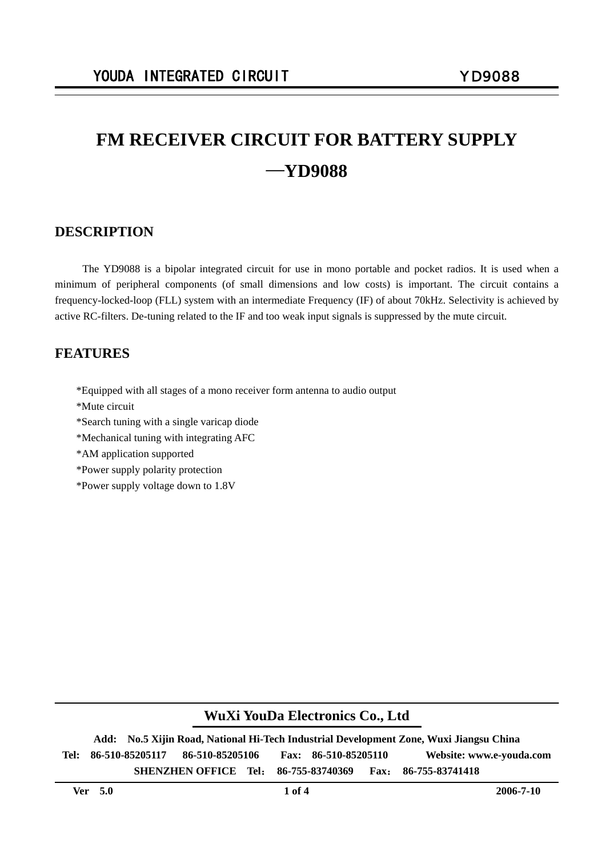# **FM RECEIVER CIRCUIT FOR BATTERY SUPPLY**  —**YD9088**

### **DESCRIPTION**

The YD9088 is a bipolar integrated circuit for use in mono portable and pocket radios. It is used when a minimum of peripheral components (of small dimensions and low costs) is important. The circuit contains a frequency-locked-loop (FLL) system with an intermediate Frequency (IF) of about 70kHz. Selectivity is achieved by active RC-filters. De-tuning related to the IF and too weak input signals is suppressed by the mute circuit.

### **FEATURES**

- \*Equipped with all stages of a mono receiver form antenna to audio output
- \*Mute circuit
- \*Search tuning with a single varicap diode
- \*Mechanical tuning with integrating AFC
- \*AM application supported
- \*Power supply polarity protection
- \*Power supply voltage down to 1.8V

### **WuXi YouDa Electronics Co., Ltd**

**Add: No.5 Xijin Road, National Hi-Tech Industrial Development Zone, Wuxi Jiangsu China Tel: 86-510-85205117 86-510-85205106 Fax: 86-510-85205110 Website: www.e-youda.com SHENZHEN OFFICE Tel**: **86-755-83740369 Fax**: **86-755-83741418**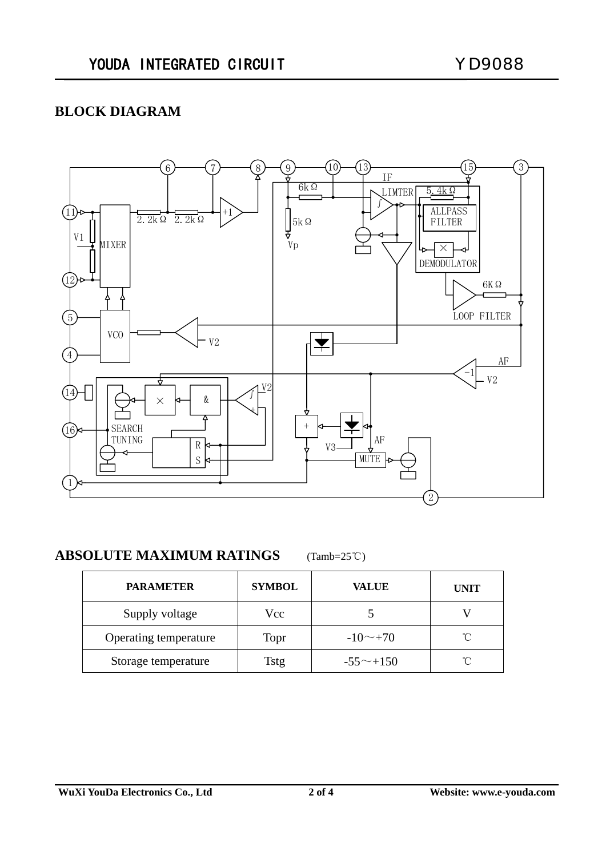# **BLOCK DIAGRAM**



### **ABSOLUTE MAXIMUM RATINGS** (Tamb=25℃)

| <b>PARAMETER</b>      | <b>SYMBOL</b> | <b>VALUE</b>    | <b>UNIT</b> |  |
|-----------------------|---------------|-----------------|-------------|--|
| Supply voltage        | Vcc.          |                 |             |  |
| Operating temperature | Topr          | $-10 \sim +70$  | °∩°         |  |
| Storage temperature   | Tstg          | $-55^\sim +150$ | °∩°         |  |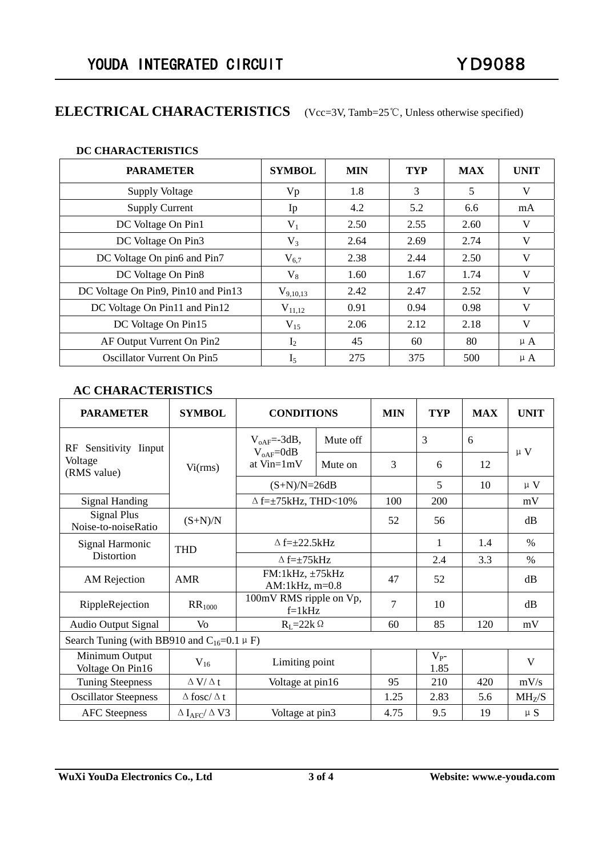# **ELECTRICAL CHARACTERISTICS** (Vcc=3V, Tamb=25℃, Unless otherwise specified)

#### **DC CHARACTERISTICS**

| <b>PARAMETER</b>                    | <b>SYMBOL</b> | <b>MIN</b> | <b>TYP</b> | <b>MAX</b> | <b>UNIT</b> |
|-------------------------------------|---------------|------------|------------|------------|-------------|
| <b>Supply Voltage</b>               | Vp            | 1.8        | 3          | 5          | V           |
| <b>Supply Current</b>               | Ip            | 4.2        | 5.2        | 6.6        | mA          |
| DC Voltage On Pin1                  | $V_1$         | 2.50       | 2.55       | 2.60       | V           |
| DC Voltage On Pin3                  | $V_3$         | 2.64       | 2.69       | 2.74       | V           |
| DC Voltage On pin6 and Pin7         | $V_{6,7}$     | 2.38       | 2.44       | 2.50       | V           |
| DC Voltage On Pin8                  | $V_8$         | 1.60       | 1.67       | 1.74       | V           |
| DC Voltage On Pin9, Pin10 and Pin13 | $V_{9,10,13}$ | 2.42       | 2.47       | 2.52       | V           |
| DC Voltage On Pin11 and Pin12       | $V_{11,12}$   | 0.91       | 0.94       | 0.98       | V           |
| DC Voltage On Pin15                 | $V_{15}$      | 2.06       | 2.12       | 2.18       | V           |
| AF Output Vurrent On Pin2           | $I_2$         | 45         | 60         | 80         | $\mu A$     |
| <b>Oscillator Vurrent On Pin5</b>   | $I_5$         | 275        | 375        | 500        | $\mu A$     |

### **AC CHARACTERISTICS**

| <b>PARAMETER</b>                                     | <b>SYMBOL</b>                           | <b>CONDITIONS</b>                                 |          | <b>MIN</b> | <b>TYP</b>        | <b>MAX</b> | <b>UNIT</b>        |  |  |
|------------------------------------------------------|-----------------------------------------|---------------------------------------------------|----------|------------|-------------------|------------|--------------------|--|--|
| Sensitivity Iinput<br>RF<br>Voltage<br>(RMS value)   | Vi(rms)                                 | $V_{oAF} = -3dB$ ,<br>$V_{oAF}=0dB$<br>at Vin=1mV | Mute off |            | 3                 | 6          | $\mu$ V            |  |  |
|                                                      |                                         |                                                   | Mute on  | 3          | 6                 | 12         |                    |  |  |
|                                                      |                                         | $(S+N)/N=26dB$                                    |          |            | 5                 | 10         | $\mu$ V            |  |  |
| <b>Signal Handing</b>                                |                                         | $\Delta$ f= $\pm$ 75kHz, THD<10%                  |          | 100        | 200               |            | mV                 |  |  |
| <b>Signal Plus</b><br>Noise-to-noiseRatio            | $(S+N)/N$                               |                                                   |          | 52         | 56                |            | dB                 |  |  |
| Signal Harmonic<br>Distortion                        | <b>THD</b>                              | $\Delta f=\pm 22.5$ kHz                           |          |            | 1                 | 1.4        | $\frac{0}{0}$      |  |  |
|                                                      |                                         | $\Delta f=\pm 75$ kHz                             |          |            | 2.4               | 3.3        | $\frac{0}{0}$      |  |  |
| AM Rejection                                         | AMR                                     | $FM:1kHz, \pm 75kHz$<br>AM:1 $kHz$ , m=0.8        |          | 47         | 52                |            | dB                 |  |  |
| RippleRejection                                      | $RR_{1000}$                             | 100mV RMS ripple on Vp,<br>$f=1kHz$               |          | 7          | 10                |            | dB                 |  |  |
| <b>Audio Output Signal</b>                           | V <sub>O</sub>                          | $R_L = 22k \Omega$                                |          | 60         | 85                | 120        | mV                 |  |  |
| Search Tuning (with BB910 and $C_{16}$ =0.1 $\mu$ F) |                                         |                                                   |          |            |                   |            |                    |  |  |
| Minimum Output<br>Voltage On Pin16                   | $V_{16}$                                | Limiting point                                    |          |            | $V_{P^-}$<br>1.85 |            | V                  |  |  |
| <b>Tuning Steepness</b>                              | $\Delta$ V/ $\Delta$ t                  | Voltage at pin16                                  |          | 95         | 210               | 420        | mV/s               |  |  |
| <b>Oscillator Steepness</b>                          | $\Delta$ fosc/ $\Delta$ t               |                                                   |          | 1.25       | 2.83              | 5.6        | MH <sub>7</sub> /S |  |  |
| <b>AFC</b> Steepness                                 | $\Delta$ I <sub>AFC</sub> / $\Delta$ V3 | Voltage at pin3                                   |          | 4.75       | 9.5               | 19         | $\upmu$ S          |  |  |